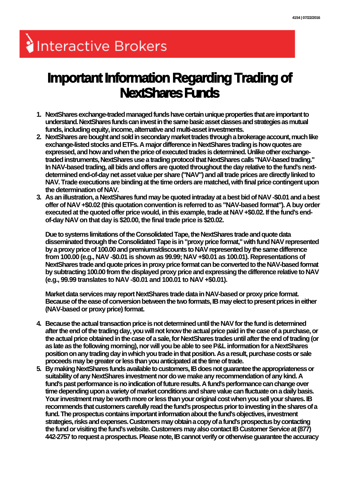## Interactive Brokers

## **Important Information Regarding Trading of NextShares Funds**

- **1. NextShares exchange-traded managed funds have certain unique properties that are important to understand. NextShares funds can invest in the same basic asset classes and strategies as mutual funds, including equity, income, alternative and multi-asset investments.**
- **2. NextShares are bought and sold in secondary market trades through a brokerage account, much like exchange-listed stocks and ETFs. A major difference in NextShares trading is how quotes are expressed, and how and when the price of executed trades is determined. Unlike other exchangetraded instruments, NextShares use a trading protocol that NextShares calls "NAV-based trading." In NAV-based trading, all bids and offers are quoted throughout the day relative to the fund's nextdetermined end-of-day net asset value per share ("NAV") and all trade prices are directly linked to NAV. Trade executions are binding at the time orders are matched, with final price contingent upon the determination of NAV.**
- **3. As an illustration, a NextShares fund may be quoted intraday at a best bid of NAV -\$0.01 and a best offer of NAV +\$0.02 (this quotation convention is referred to as "NAV-based format"). A buy order executed at the quoted offer price would, in this example, trade at NAV +\$0.02. If the fund's endof-day NAV on that day is \$20.00, the final trade price is \$20.02.**

**Due to systems limitations of the Consolidated Tape, the NextShares trade and quote data disseminated through the Consolidated Tape is in "proxy price format," with fund NAV represented by a proxy price of 100.00 and premiums/discounts to NAV represented by the same difference from 100.00 (e.g., NAV -\$0.01 is shown as 99.99; NAV +\$0.01 as 100.01). Representations of NextShares trade and quote prices in proxy price format can be converted to the NAV-based format by subtracting 100.00 from the displayed proxy price and expressing the difference relative to NAV (e.g., 99.99 translates to NAV -\$0.01 and 100.01 to NAV +\$0.01).**

**Market data services may report NextShares trade data in NAV-based or proxy price format. Because of the ease of conversion between the two formats, IB may elect to present prices in either (NAV-based or proxy price) format.**

- **4. Because the actual transaction price is not determined until the NAV for the fund is determined after the end of the trading day, you will not know the actual price paid in the case of a purchase, or the actual price obtained in the case of a sale, for NextShares trades until after the end of trading (or as late as the following morning), nor will you be able to see P&L information for a NextShares position on any trading day in which you trade in that position. As a result, purchase costs or sale proceeds may be greater or less than you anticipated at the time of trade.**
- **5. By making NextShares funds available to customers, IB does not guarantee the appropriateness or suitability of any NextShares investment nor do we make any recommendation of any kind. A fund's past performance is no indication of future results. A fund's performance can change over time depending upon a variety of market conditions and share value can fluctuate on a daily basis. Your investment may be worth more or less than your original cost when you sell your shares. IB recommends that customers carefully read the fund's prospectus prior to investing in the shares of a fund. The prospectus contains important information about the fund's objectives, investment strategies, risks and expenses. Customers may obtain a copy of a fund's prospectus by contacting the fund or visiting the fund's website. Customers may also contact IB Customer Service at (877) 442-2757 to request a prospectus. Please note, IB cannot verify or otherwise guarantee the accuracy**